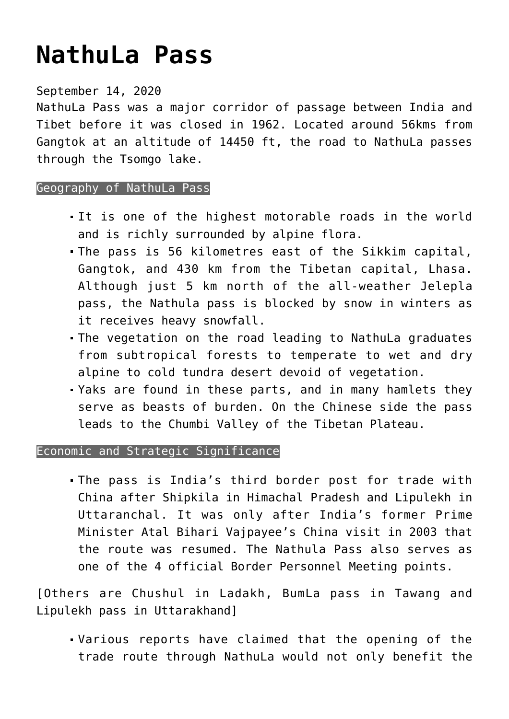## **[NathuLa Pass](https://journalsofindia.com/nathula-pass/)**

## September 14, 2020

NathuLa Pass was a major corridor of passage between India and Tibet before it was closed in 1962. Located around 56kms from Gangtok at an altitude of 14450 ft, the road to NathuLa passes through the Tsomgo lake.

## Geography of NathuLa Pass

- It is one of the highest motorable roads in the world and is richly surrounded by alpine flora.
- The pass is 56 kilometres east of the Sikkim capital, Gangtok, and 430 km from the Tibetan capital, Lhasa. Although just 5 km north of the all-weather Jelepla pass, the Nathula pass is blocked by snow in winters as it receives heavy snowfall.
- The vegetation on the road leading to NathuLa graduates from subtropical forests to temperate to wet and dry alpine to cold tundra desert devoid of vegetation.
- Yaks are found in these parts, and in many hamlets they serve as beasts of burden. On the Chinese side the pass leads to the Chumbi Valley of the Tibetan Plateau.

## Economic and Strategic Significance

The pass is India's third border post for trade with China after Shipkila in Himachal Pradesh and Lipulekh in Uttaranchal. It was only after India's former Prime Minister Atal Bihari Vajpayee's China visit in 2003 that the route was resumed. The Nathula Pass also serves as one of the 4 official Border Personnel Meeting points.

[Others are Chushul in Ladakh, BumLa pass in Tawang and Lipulekh pass in Uttarakhand]

Various reports have claimed that the opening of the trade route through NathuLa would not only benefit the